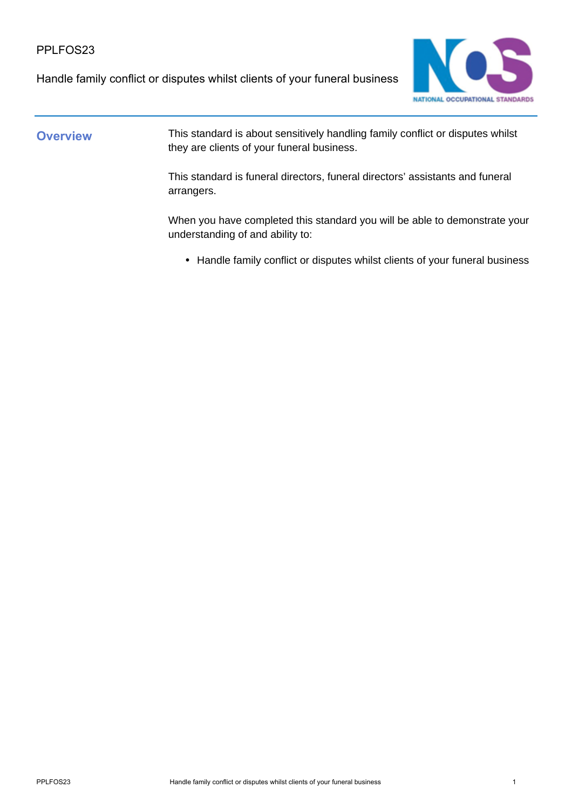Handle family conflict or disputes whilst clients of your funeral business



**Overview** This standard is about sensitively handling family conflict or disputes whilst they are clients of your funeral business.

> This standard is funeral directors, funeral directors' assistants and funeral arrangers.

When you have completed this standard you will be able to demonstrate your understanding of and ability to:

• Handle family conflict or disputes whilst clients of your funeral business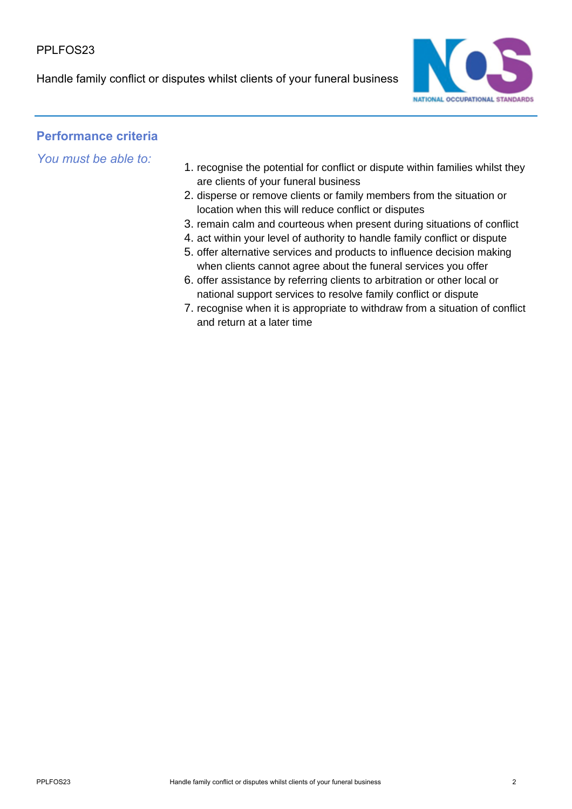Handle family conflict or disputes whilst clients of your funeral business



## **Performance criteria**

*You must be able to:*

- 1. recognise the potential for conflict or dispute within families whilst they are clients of your funeral business
- 2. disperse or remove clients or family members from the situation or location when this will reduce conflict or disputes
- 3. remain calm and courteous when present during situations of conflict
- 4. act within your level of authority to handle family conflict or dispute
- 5. offer alternative services and products to influence decision making when clients cannot agree about the funeral services you offer
- 6. offer assistance by referring clients to arbitration or other local or national support services to resolve family conflict or dispute
- 7. recognise when it is appropriate to withdraw from a situation of conflict and return at a later time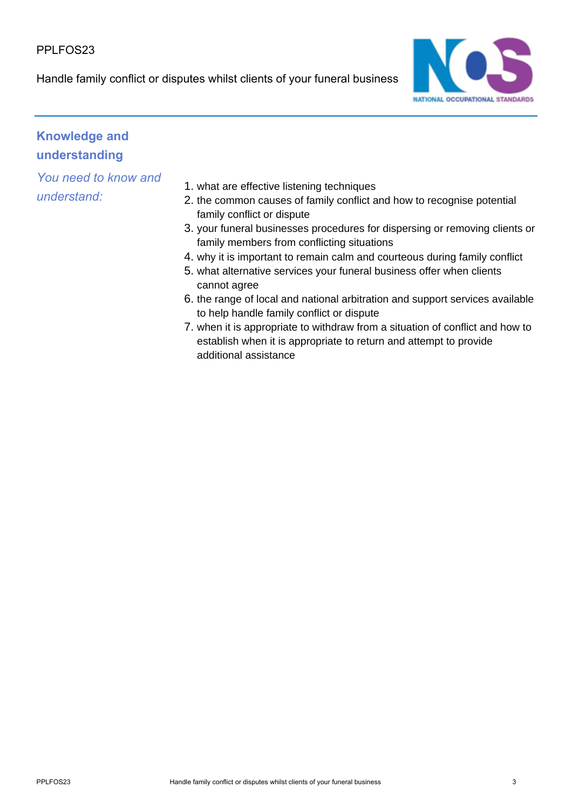Handle family conflict or disputes whilst clients of your funeral business



# **Knowledge and understanding**

*You need to know and understand:*

- 1. what are effective listening techniques
- 2. the common causes of family conflict and how to recognise potential family conflict or dispute
- 3. your funeral businesses procedures for dispersing or removing clients or family members from conflicting situations
- 4. why it is important to remain calm and courteous during family conflict
- 5. what alternative services your funeral business offer when clients cannot agree
- 6. the range of local and national arbitration and support services available to help handle family conflict or dispute
- 7. when it is appropriate to withdraw from a situation of conflict and how to establish when it is appropriate to return and attempt to provide additional assistance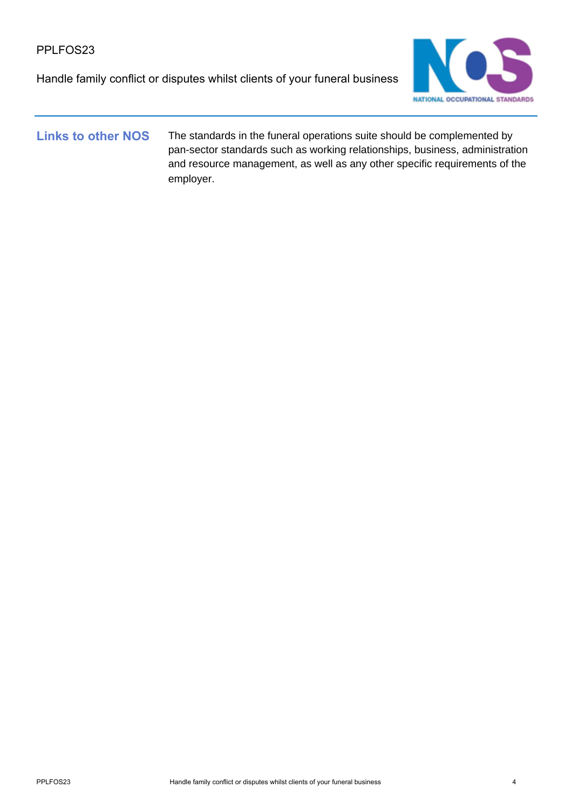Handle family conflict or disputes whilst clients of your funeral business



Links to other NOS The standards in the funeral operations suite should be complemented by pan-sector standards such as working relationships, business, administration and resource management, as well as any other specific requirements of the employer.